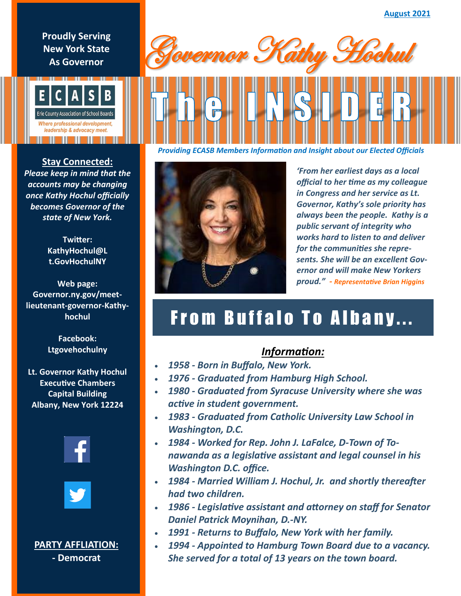**Proudly Serving New York State As Governor**



**Stay Connected:**  *Please keep in mind that the accounts may be changing once Kathy Hochul officially becomes Governor of the state of New York.* 

> **Twitter: KathyHochul@L t.GovHochulNY**

**Web page: Governor.ny.gov/meetlieutenant-governor-Kathyhochul**

> **Facebook: Ltgovehochulny**

**Lt. Governor Kathy Hochul Executive Chambers Capital Building Albany, New York 12224**





## **PARTY AFFLIATION:**

**- Democrat**





*'From her earliest days as a local official to her time as my colleague in Congress and her service as Lt. Governor, Kathy's sole priority has always been the people. Kathy is a public servant of integrity who works hard to listen to and deliver for the communities she represents. She will be an excellent Governor and will make New Yorkers proud." - Representative Brian Higgins*

## From Buffalo To Albany...

## *Information:*

- *1958 - Born in Buffalo, New York.*
- *1976 - Graduated from Hamburg High School.*
- *1980 - Graduated from Syracuse University where she was active in student government.*
- *1983 - Graduated from Catholic University Law School in Washington, D.C.*
- *1984 - Worked for Rep. John J. LaFalce, D-Town of Tonawanda as a legislative assistant and legal counsel in his Washington D.C. office.*
- *1984 - Married William J. Hochul, Jr. and shortly thereafter had two children.*
- *1986 - Legislative assistant and attorney on staff for Senator Daniel Patrick Moynihan, D.-NY.*
- *1991 - Returns to Buffalo, New York with her family.*
- *1994 - Appointed to Hamburg Town Board due to a vacancy. She served for a total of 13 years on the town board.*